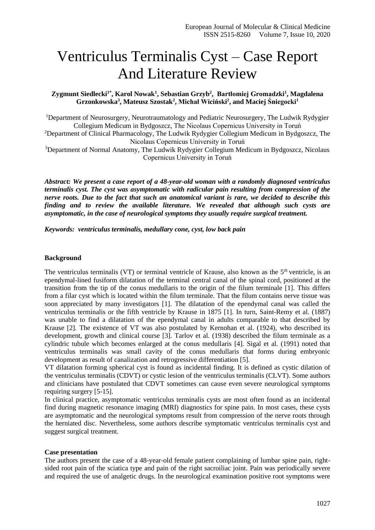# Ventriculus Terminalis Cyst – Case Report And Literature Review

## **Zygmunt Siedlecki1\* , Karol Nowak<sup>1</sup> , Sebastian Grzyb<sup>2</sup> , Bartłomiej Gromadzki<sup>1</sup> , Magdalena Grzonkowska<sup>3</sup> , Mateusz Szostak<sup>2</sup> , Michał Wiciński<sup>2</sup> , and Maciej Śniegocki<sup>1</sup>**

<sup>1</sup>Department of Neurosurgery, Neurotraumatology and Pediatric Neurosurgery, The Ludwik Rydygier Collegium Medicum in Bydgoszcz, The Nicolaus Copernicus University in Toruń <sup>2</sup>Department of Clinical Pharmacology, The Ludwik Rydygier Collegium Medicum in Bydgoszcz, The

Nicolaus Copernicus University in Toruń

<sup>3</sup>Department of Normal Anatomy, The Ludwik Rydygier Collegium Medicum in Bydgoszcz, Nicolaus Copernicus University in Toruń

*Abstract: We present a case report of a 48-year-old woman with a randomly diagnosed ventriculus terminalis cyst. The cyst was asymptomatic with radicular pain resulting from compression of the nerve roots. Due to the fact that such an anatomical variant is rare, we decided to describe this finding and to review the available literature. We revealed that although such cysts are asymptomatic, in the case of neurological symptoms they usually require surgical treatment.*

*Keywords: ventriculus terminalis, medullary cone, cyst, low back pain*

## **Background**

The ventriculus terminalis (VT) or terminal ventricle of Krause, also known as the  $5<sup>th</sup>$  ventricle, is an ependymal-lined fusiform dilatation of the terminal central canal of the spinal cord, positioned at the transition from the tip of the conus medullaris to the origin of the filum terminale [1]. This differs from a filar cyst which is located within the filum terminale. That the filum contains nerve tissue was soon appreciated by many investigators [1]. The dilatation of the ependymal canal was called the ventriculus terminalis or the fifth ventricle by Krause in 1875 [1]. In turn, Saint-Remy et al. (1887) was unable to find a dilatation of the ependymal canal in adults comparable to that described by Krause [2]. The existence of VT was also postulated by Kernohan et al. (1924), who described its development, growth and clinical course [3]. Tarlov et al. (1938) described the filum terminale as a cylindric tubule which becomes enlarged at the conus medullaris [4]. Sigal et al. (1991) noted that ventriculus terminalis was small cavity of the conus medullaris that forms during embryonic development as result of canalization and retrogressive differentiation [5].

VT dilatation forming spherical cyst is found as incidental finding. It is defined as cystic dilation of the ventriculus terminalis (CDVT) or cystic lesion of the ventriculus terminalis (CLVT). Some authors and clinicians have postulated that CDVT sometimes can cause even severe neurological symptoms requiring surgery [5-15].

In clinical practice, asymptomatic ventriculus terminalis cysts are most often found as an incidental find during magnetic resonance imaging (MRI) diagnostics for spine pain. In most cases, these cysts are asymptomatic and the neurological symptoms result from compression of the nerve roots through the herniated disc. Nevertheless, some authors describe symptomatic ventriculus terminalis cyst and suggest surgical treatment.

## **Case presentation**

The authors present the case of a 48-year-old female patient complaining of lumbar spine pain, rightsided root pain of the sciatica type and pain of the right sacroiliac joint. Pain was periodically severe and required the use of analgetic drugs. In the neurological examination positive root symptoms were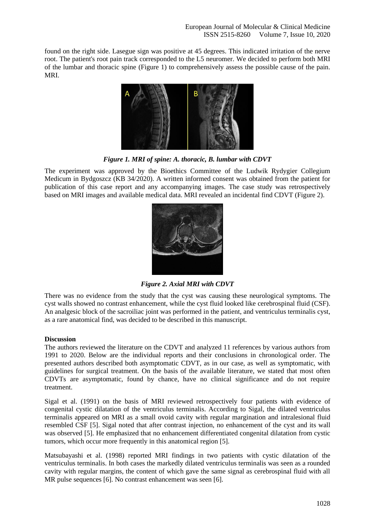found on the right side. Lasegue sign was positive at 45 degrees. This indicated irritation of the nerve root. The patient's root pain track corresponded to the L5 neuromer. We decided to perform both MRI of the lumbar and thoracic spine (Figure 1) to comprehensively assess the possible cause of the pain. MRI.



*Figure 1. MRI of spine: A. thoracic, B. lumbar with CDVT*

The experiment was approved by the Bioethics Committee of the Ludwik Rydygier Collegium Medicum in Bydgoszcz (KB 34/2020). A written informed consent was obtained from the patient for publication of this case report and any accompanying images. The case study was retrospectively based on MRI images and available medical data. MRI revealed an incidental find CDVT (Figure 2).



*Figure 2. Axial MRI with CDVT*

There was no evidence from the study that the cyst was causing these neurological symptoms. The cyst walls showed no contrast enhancement, while the cyst fluid looked like cerebrospinal fluid (CSF). An analgesic block of the sacroiliac joint was performed in the patient, and ventriculus terminalis cyst, as a rare anatomical find, was decided to be described in this manuscript.

## **Discussion**

The authors reviewed the literature on the CDVT and analyzed 11 references by various authors from 1991 to 2020. Below are the individual reports and their conclusions in chronological order. The presented authors described both asymptomatic CDVT, as in our case, as well as symptomatic, with guidelines for surgical treatment. On the basis of the available literature, we stated that most often CDVTs are asymptomatic, found by chance, have no clinical significance and do not require treatment.

Sigal et al. (1991) on the basis of MRI reviewed retrospectively four patients with evidence of congenital cystic dilatation of the ventriculus terminalis. According to Sigal, the dilated ventriculus terminalis appeared on MRI as a small ovoid cavity with regular margination and intralesional fluid resembled CSF [5]. Sigal noted that after contrast injection, no enhancement of the cyst and its wall was observed [5]. He emphasized that no enhancement differentiated congenital dilatation from cystic tumors, which occur more frequently in this anatomical region [5].

Matsubayashi et al. (1998) reported MRI findings in two patients with cystic dilatation of the ventriculus terminalis. In both cases the markedly dilated ventriculus terminalis was seen as a rounded cavity with regular margins, the content of which gave the same signal as cerebrospinal fluid with all MR pulse sequences [6]. No contrast enhancement was seen [6].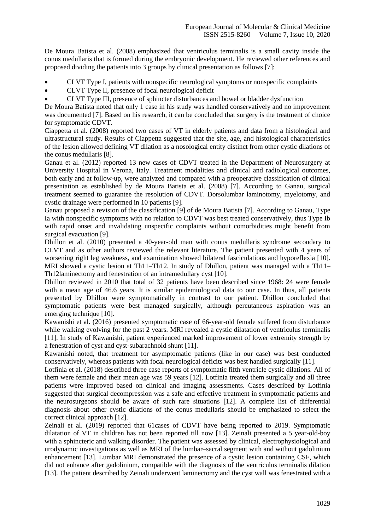De Moura Batista et al. (2008) emphasized that ventriculus terminalis is a small cavity inside the conus medullaris that is formed during the embryonic development. He reviewed other references and proposed dividing the patients into 3 groups by clinical presentation as follows [7]:

- CLVT Type I, patients with nonspecific neurological symptoms or nonspecific complaints
- CLVT Type II, presence of focal neurological deficit
- CLVT Type III, presence of sphincter disturbances and bowel or bladder dysfunction

De Moura Batista noted that only 1 case in his study was handled conservatively and no improvement was documented [7]. Based on his research, it can be concluded that surgery is the treatment of choice for symptomatic CDVT.

Ciappetta et al. (2008) reported two cases of VT in elderly patients and data from a histological and ultrastructural study. Results of Ciappetta suggested that the site, age, and histological characteristics of the lesion allowed defining VT dilation as a nosological entity distinct from other cystic dilations of the conus medullaris [8].

Ganau et al. (2012) reported 13 new cases of CDVT treated in the Department of Neurosurgery at University Hospital in Verona, Italy. Treatment modalities and clinical and radiological outcomes, both early and at follow-up, were analyzed and compared with a preoperative classification of clinical presentation as established by de Moura Batista et al. (2008) [7]. According to Ganau, surgical treatment seemed to guarantee the resolution of CDVT. Dorsolumbar laminotomy, myelotomy, and cystic drainage were performed in 10 patients [9].

Ganau proposed a revision of the classification [9] of de Moura Batista [7]. According to Ganau, Type Ia with nonspecific symptoms with no relation to CDVT was best treated conservatively, thus Type Ib with rapid onset and invalidating unspecific complaints without comorbidities might benefit from surgical evacuation [9].

Dhillon et al. (2010) presented a 40-year-old man with [conus medullaris](https://www.sciencedirect.com/topics/medicine-and-dentistry/conus-medullaris) syndrome secondary to CLVT and as other authors reviewed the relevant literature. The patient presented with 4 years of worsening right leg weakness, and examination showed bilateral [fasciculations](https://www.sciencedirect.com/topics/medicine-and-dentistry/fasciculation) and [hyporeflexia](https://www.sciencedirect.com/topics/medicine-and-dentistry/hyporeflexia) [10]. [MRI](https://www.sciencedirect.com/topics/medicine-and-dentistry/magnetic-resonance-imaging) showed a cystic lesion at Th11–Th12. In study of Dhillon, patient was managed with a Th11– Th1[2laminectomy](https://www.sciencedirect.com/topics/medicine-and-dentistry/laminectomy) and [fenestration](https://www.sciencedirect.com/topics/medicine-and-dentistry/fenestration) of an intramedullary cyst [10].

Dhillon reviewed in 2010 that total of 32 patients have been described since 1968: 24 were female with a mean age of 46.6 years. It is similar epidemiological data to our case. In thus, all patients presented by Dhillon were symptomatically in contrast to our patient. Dhillon concluded that symptomatic patients were best managed surgically, although percutaneous aspiration was an emerging technique [10].

Kawanishi et al. (2016) presented symptomatic case of 66-year-old female suffered from disturbance while walking evolving for the past 2 years. MRI revealed a cystic dilatation of ventriculus terminalis [11]. In study of Kawanishi, patient experienced marked improvement of lower extremity strength by a fenestration of cyst and cyst-subarachnoid shunt [11].

Kawanishi noted, that treatment for asymptomatic patients (like in our case) was best conducted conservatively, whereas patients with focal neurological deficits was best handled surgically [11].

Lotfinia et al. (2018) described three case reports of symptomatic fifth ventricle cystic dilations. All of them were female and their mean age was  $\overline{59}$  years [12]. Lotfinia treated them surgically and all three patients were improved based on clinical and imaging assessments. Cases described by Lotfinia suggested that surgical decompression was a safe and effective treatment in symptomatic patients and the neurosurgeons should be aware of such rare situations [12]. A complete list of differential diagnosis about other cystic dilations of the conus medullaris should be emphasized to select the correct clinical approach [12].

Zeinali et al. (2019) reported that 61cases of CDVT have being reported to 2019. Symptomatic dilatation of VT in children has not been reported till now [13]. Zeinali presented a 5 year-old-boy with a sphincteric and walking disorder. The patient was assessed by clinical, electrophysiological and urodynamic investigations as well as MRI of the lumbar–sacral segment with and without gadolinium enhancement [13]. Lumbar MRI demonstrated the presence of a cystic lesion containing CSF, which did not enhance after gadolinium, compatible with the diagnosis of the ventriculus terminalis dilation [13]. The patient described by Zeinali underwent laminectomy and the cyst wall was fenestrated with a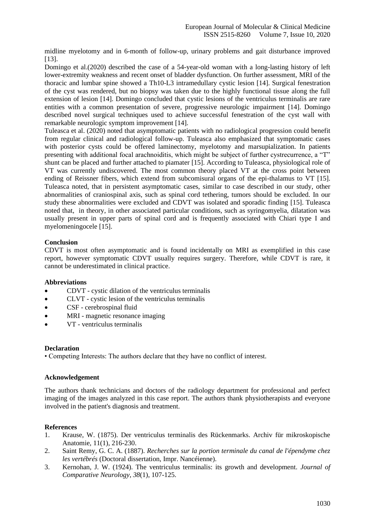midline myelotomy and in 6-month of follow-up, urinary problems and gait disturbance improved [13].

Domingo et al.(2020) described the case of a 54-year-old woman with a long-lasting history of left lower-extremity weakness and recent onset of bladder dysfunction. On further assessment, MRI of the thoracic and lumbar spine showed a Th10-L3 intramedullary cystic lesion [14]. Surgical fenestration of the cyst was rendered, but no biopsy was taken due to the highly functional tissue along the full extension of lesion [14]. Domingo concluded that cystic lesions of the ventriculus terminalis are rare entities with a common presentation of severe, progressive neurologic impairment [14]. Domingo described novel surgical techniques used to achieve successful fenestration of the cyst wall with remarkable neurologic symptom improvement [14].

Tuleasca et al. (2020) noted that asymptomatic patients with no radiological progression could benefit from regular clinical and radiological follow-up. Tuleasca also emphasized that symptomatic cases with posterior cysts could be offered laminectomy, myelotomy and marsupialization. In patients presenting with additional focal arachnoiditis, which might be subject of further cystrecurrence, a "T" shunt can be placed and further attached to piamater [15]. According to Tuleasca, physiological role of VT was currently undiscovered. The most common theory placed VT at the cross point between ending of Reissner fibers, which extend from subcomisural organs of the epi-thalamus to VT [15]. Tuleasca noted, that in persistent asymptomatic cases, similar to case described in our study, other abnormalities of craniospinal axis, such as spinal cord tethering, tumors should be excluded. In our study these abnormalities were excluded and CDVT was isolated and sporadic finding [15]. Tuleasca noted that, in theory, in other associated particular conditions, such as syringomyelia, dilatation was usually present in upper parts of spinal cord and is frequently associated with Chiari type I and myelomeningocele [15].

## **Conclusion**

CDVT is most often asymptomatic and is found incidentally on MRI as exemplified in this case report, however symptomatic CDVT usually requires surgery. Therefore, while CDVT is rare, it cannot be underestimated in clinical practice.

## **Abbreviations**

- CDVT cystic dilation of the ventriculus terminalis
- CLVT cystic lesion of the ventriculus terminalis
- CSF cerebrospinal fluid
- MRI magnetic resonance imaging
- VT ventriculus terminalis

## **Declaration**

• Competing Interests: The authors declare that they have no conflict of interest.

## **Acknowledgement**

The authors thank technicians and doctors of the radiology department for professional and perfect imaging of the images analyzed in this case report. The authors thank physiotherapists and everyone involved in the patient's diagnosis and treatment.

## **References**

- 1. Krause, W. (1875). Der ventriculus terminalis des Rückenmarks. Archiv für mikroskopische Anatomie, 11(1), 216-230.
- 2. Saint Remy, G. C. A. (1887). *Recherches sur la portion terminale du canal de l'épendyme chez les vertébrés* (Doctoral dissertation, Impr. Nancéienne).
- 3. Kernohan, J. W. (1924). The ventriculus terminalis: its growth and development. *Journal of Comparative Neurology*, *38*(1), 107-125.